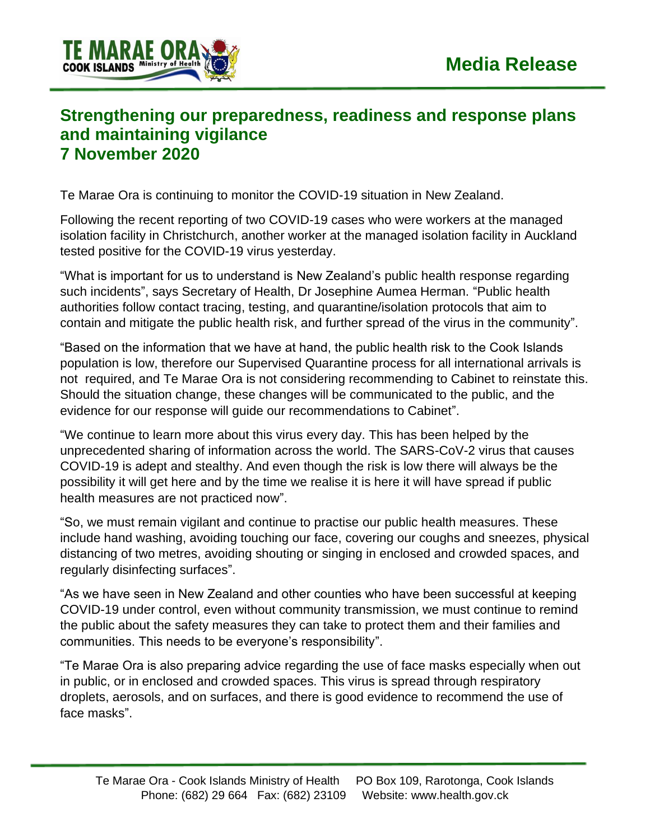

## **Strengthening our preparedness, readiness and response plans and maintaining vigilance 7 November 2020**

Te Marae Ora is continuing to monitor the COVID-19 situation in New Zealand.

Following the recent reporting of two COVID-19 cases who were workers at the managed isolation facility in Christchurch, another worker at the managed isolation facility in Auckland tested positive for the COVID-19 virus yesterday.

"What is important for us to understand is New Zealand's public health response regarding such incidents", says Secretary of Health, Dr Josephine Aumea Herman. "Public health authorities follow contact tracing, testing, and quarantine/isolation protocols that aim to contain and mitigate the public health risk, and further spread of the virus in the community".

"Based on the information that we have at hand, the public health risk to the Cook Islands population is low, therefore our Supervised Quarantine process for all international arrivals is not required, and Te Marae Ora is not considering recommending to Cabinet to reinstate this. Should the situation change, these changes will be communicated to the public, and the evidence for our response will guide our recommendations to Cabinet".

"We continue to learn more about this virus every day. This has been helped by the unprecedented sharing of information across the world. The SARS-CoV-2 virus that causes COVID-19 is adept and stealthy. And even though the risk is low there will always be the possibility it will get here and by the time we realise it is here it will have spread if public health measures are not practiced now".

"So, we must remain vigilant and continue to practise our public health measures. These include hand washing, avoiding touching our face, covering our coughs and sneezes, physical distancing of two metres, avoiding shouting or singing in enclosed and crowded spaces, and regularly disinfecting surfaces".

"As we have seen in New Zealand and other counties who have been successful at keeping COVID-19 under control, even without community transmission, we must continue to remind the public about the safety measures they can take to protect them and their families and communities. This needs to be everyone's responsibility".

"Te Marae Ora is also preparing advice regarding the use of face masks especially when out in public, or in enclosed and crowded spaces. This virus is spread through respiratory droplets, aerosols, and on surfaces, and there is good evidence to recommend the use of face masks".